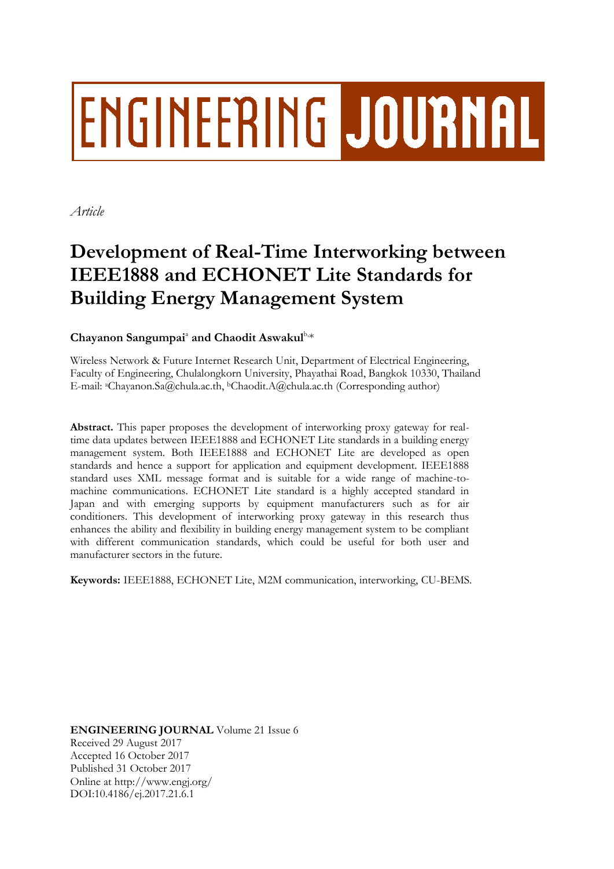# **ENGINEERING JOURNAL**

*Article*

## **Development of Real-Time Interworking between IEEE1888 and ECHONET Lite Standards for Building Energy Management System**

### Chayanon Sangumpai<sup>a</sup> and Chaodit Aswakul<sup>b,\*</sup>

Wireless Network & Future Internet Research Unit, Department of Electrical Engineering, Faculty of Engineering, Chulalongkorn University, Phayathai Road, Bangkok 10330, Thailand E-mail: <sup>a</sup>Chayanon.Sa@chula.ac.th, <sup>b</sup>Chaodit.A@chula.ac.th (Corresponding author)

**Abstract.** This paper proposes the development of interworking proxy gateway for realtime data updates between IEEE1888 and ECHONET Lite standards in a building energy management system. Both IEEE1888 and ECHONET Lite are developed as open standards and hence a support for application and equipment development. IEEE1888 standard uses XML message format and is suitable for a wide range of machine-tomachine communications. ECHONET Lite standard is a highly accepted standard in Japan and with emerging supports by equipment manufacturers such as for air conditioners. This development of interworking proxy gateway in this research thus enhances the ability and flexibility in building energy management system to be compliant with different communication standards, which could be useful for both user and manufacturer sectors in the future.

**Keywords:** IEEE1888, ECHONET Lite, M2M communication, interworking, CU-BEMS.

**ENGINEERING JOURNAL** Volume 21 Issue 6 Received 29 August 2017 Accepted 16 October 2017 Published 31 October 2017 Online at http://www.engj.org/ DOI:10.4186/ej.2017.21.6.1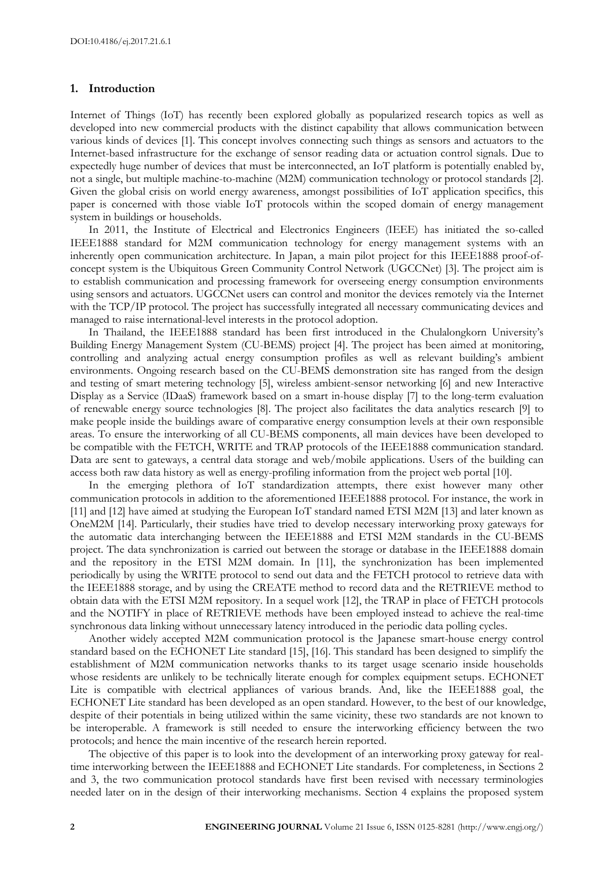#### **1. Introduction**

Internet of Things (IoT) has recently been explored globally as popularized research topics as well as developed into new commercial products with the distinct capability that allows communication between various kinds of devices [1]. This concept involves connecting such things as sensors and actuators to the Internet-based infrastructure for the exchange of sensor reading data or actuation control signals. Due to expectedly huge number of devices that must be interconnected, an IoT platform is potentially enabled by, not a single, but multiple machine-to-machine (M2M) communication technology or protocol standards [2]. Given the global crisis on world energy awareness, amongst possibilities of IoT application specifics, this paper is concerned with those viable IoT protocols within the scoped domain of energy management system in buildings or households.

In 2011, the Institute of Electrical and Electronics Engineers (IEEE) has initiated the so-called IEEE1888 standard for M2M communication technology for energy management systems with an inherently open communication architecture. In Japan, a main pilot project for this IEEE1888 proof-ofconcept system is the Ubiquitous Green Community Control Network (UGCCNet) [3]. The project aim is to establish communication and processing framework for overseeing energy consumption environments using sensors and actuators. UGCCNet users can control and monitor the devices remotely via the Internet with the TCP/IP protocol. The project has successfully integrated all necessary communicating devices and managed to raise international-level interests in the protocol adoption.

In Thailand, the IEEE1888 standard has been first introduced in the Chulalongkorn University's Building Energy Management System (CU-BEMS) project [4]. The project has been aimed at monitoring, controlling and analyzing actual energy consumption profiles as well as relevant building's ambient environments. Ongoing research based on the CU-BEMS demonstration site has ranged from the design and testing of smart metering technology [5], wireless ambient-sensor networking [6] and new Interactive Display as a Service (IDaaS) framework based on a smart in-house display [7] to the long-term evaluation of renewable energy source technologies [8]. The project also facilitates the data analytics research [9] to make people inside the buildings aware of comparative energy consumption levels at their own responsible areas. To ensure the interworking of all CU-BEMS components, all main devices have been developed to be compatible with the FETCH, WRITE and TRAP protocols of the IEEE1888 communication standard. Data are sent to gateways, a central data storage and web/mobile applications. Users of the building can access both raw data history as well as energy-profiling information from the project web portal [10].

In the emerging plethora of IoT standardization attempts, there exist however many other communication protocols in addition to the aforementioned IEEE1888 protocol. For instance, the work in [11] and [12] have aimed at studying the European IoT standard named ETSI M2M [13] and later known as OneM2M [14]. Particularly, their studies have tried to develop necessary interworking proxy gateways for the automatic data interchanging between the IEEE1888 and ETSI M2M standards in the CU-BEMS project. The data synchronization is carried out between the storage or database in the IEEE1888 domain and the repository in the ETSI M2M domain. In [11], the synchronization has been implemented periodically by using the WRITE protocol to send out data and the FETCH protocol to retrieve data with the IEEE1888 storage, and by using the CREATE method to record data and the RETRIEVE method to obtain data with the ETSI M2M repository. In a sequel work [12], the TRAP in place of FETCH protocols and the NOTIFY in place of RETRIEVE methods have been employed instead to achieve the real-time synchronous data linking without unnecessary latency introduced in the periodic data polling cycles.

Another widely accepted M2M communication protocol is the Japanese smart-house energy control standard based on the ECHONET Lite standard [15], [16]. This standard has been designed to simplify the establishment of M2M communication networks thanks to its target usage scenario inside households whose residents are unlikely to be technically literate enough for complex equipment setups. ECHONET Lite is compatible with electrical appliances of various brands. And, like the IEEE1888 goal, the ECHONET Lite standard has been developed as an open standard. However, to the best of our knowledge, despite of their potentials in being utilized within the same vicinity, these two standards are not known to be interoperable. A framework is still needed to ensure the interworking efficiency between the two protocols; and hence the main incentive of the research herein reported.

The objective of this paper is to look into the development of an interworking proxy gateway for realtime interworking between the IEEE1888 and ECHONET Lite standards. For completeness, in Sections 2 and 3, the two communication protocol standards have first been revised with necessary terminologies needed later on in the design of their interworking mechanisms. Section 4 explains the proposed system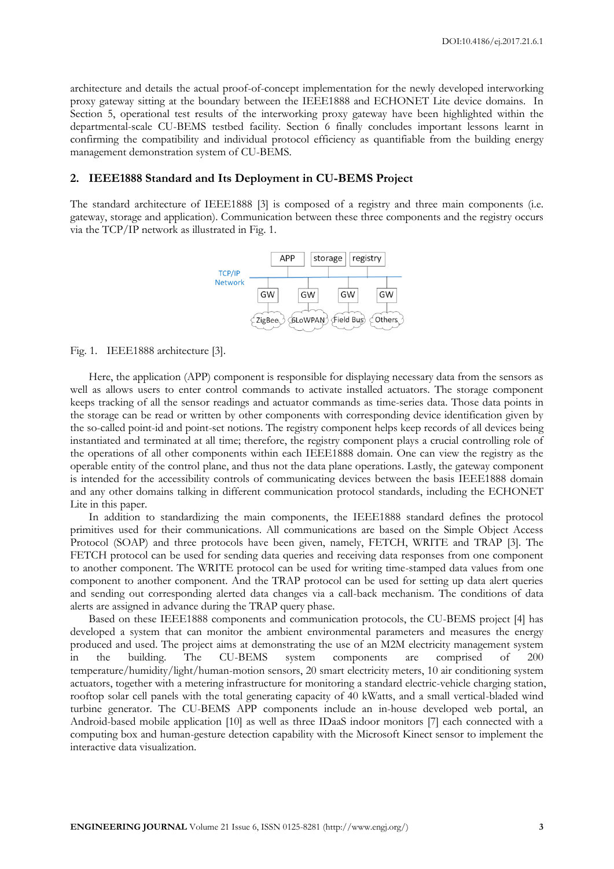architecture and details the actual proof-of-concept implementation for the newly developed interworking proxy gateway sitting at the boundary between the IEEE1888 and ECHONET Lite device domains. In Section 5, operational test results of the interworking proxy gateway have been highlighted within the departmental-scale CU-BEMS testbed facility. Section 6 finally concludes important lessons learnt in confirming the compatibility and individual protocol efficiency as quantifiable from the building energy management demonstration system of CU-BEMS.

#### **2. IEEE1888 Standard and Its Deployment in CU-BEMS Project**

The standard architecture of IEEE1888 [3] is composed of a registry and three main components (i.e. gateway, storage and application). Communication between these three components and the registry occurs via the TCP/IP network as illustrated in Fig. 1.



Fig. 1. IEEE1888 architecture [3].

Here, the application (APP) component is responsible for displaying necessary data from the sensors as well as allows users to enter control commands to activate installed actuators. The storage component keeps tracking of all the sensor readings and actuator commands as time-series data. Those data points in the storage can be read or written by other components with corresponding device identification given by the so-called point-id and point-set notions. The registry component helps keep records of all devices being instantiated and terminated at all time; therefore, the registry component plays a crucial controlling role of the operations of all other components within each IEEE1888 domain. One can view the registry as the operable entity of the control plane, and thus not the data plane operations. Lastly, the gateway component is intended for the accessibility controls of communicating devices between the basis IEEE1888 domain and any other domains talking in different communication protocol standards, including the ECHONET Lite in this paper.

In addition to standardizing the main components, the IEEE1888 standard defines the protocol primitives used for their communications. All communications are based on the Simple Object Access Protocol (SOAP) and three protocols have been given, namely, FETCH, WRITE and TRAP [3]. The FETCH protocol can be used for sending data queries and receiving data responses from one component to another component. The WRITE protocol can be used for writing time-stamped data values from one component to another component. And the TRAP protocol can be used for setting up data alert queries and sending out corresponding alerted data changes via a call-back mechanism. The conditions of data alerts are assigned in advance during the TRAP query phase.

Based on these IEEE1888 components and communication protocols, the CU-BEMS project [4] has developed a system that can monitor the ambient environmental parameters and measures the energy produced and used. The project aims at demonstrating the use of an M2M electricity management system in the building. The CU-BEMS system components are comprised of 200 temperature/humidity/light/human-motion sensors, 20 smart electricity meters, 10 air conditioning system actuators, together with a metering infrastructure for monitoring a standard electric-vehicle charging station, rooftop solar cell panels with the total generating capacity of 40 kWatts, and a small vertical-bladed wind turbine generator. The CU-BEMS APP components include an in-house developed web portal, an Android-based mobile application [10] as well as three IDaaS indoor monitors [7] each connected with a computing box and human-gesture detection capability with the Microsoft Kinect sensor to implement the interactive data visualization.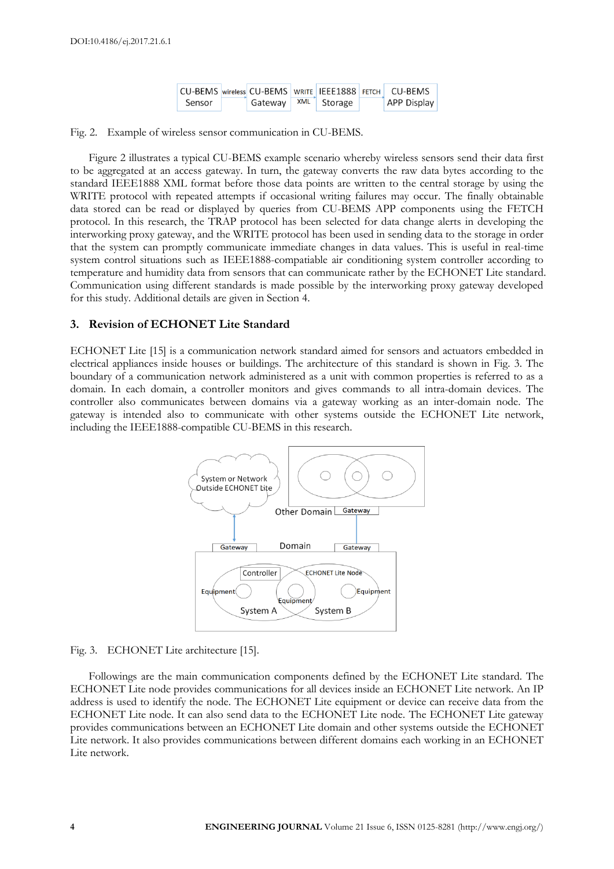|        |         |     |         | CU-BEMS   wireless   CU-BEMS   WRITE   IEEE1888   FETCH   _ CU-BEMS |
|--------|---------|-----|---------|---------------------------------------------------------------------|
| Sensor | Gateway | XML | Storage | <b>APP Display</b>                                                  |

Fig. 2. Example of wireless sensor communication in CU-BEMS.

Figure 2 illustrates a typical CU-BEMS example scenario whereby wireless sensors send their data first to be aggregated at an access gateway. In turn, the gateway converts the raw data bytes according to the standard IEEE1888 XML format before those data points are written to the central storage by using the WRITE protocol with repeated attempts if occasional writing failures may occur. The finally obtainable data stored can be read or displayed by queries from CU-BEMS APP components using the FETCH protocol. In this research, the TRAP protocol has been selected for data change alerts in developing the interworking proxy gateway, and the WRITE protocol has been used in sending data to the storage in order that the system can promptly communicate immediate changes in data values. This is useful in real-time system control situations such as IEEE1888-compatiable air conditioning system controller according to temperature and humidity data from sensors that can communicate rather by the ECHONET Lite standard. Communication using different standards is made possible by the interworking proxy gateway developed for this study. Additional details are given in Section 4.

#### **3. Revision of ECHONET Lite Standard**

ECHONET Lite [15] is a communication network standard aimed for sensors and actuators embedded in electrical appliances inside houses or buildings. The architecture of this standard is shown in Fig. 3. The boundary of a communication network administered as a unit with common properties is referred to as a domain. In each domain, a controller monitors and gives commands to all intra-domain devices. The controller also communicates between domains via a gateway working as an inter-domain node. The gateway is intended also to communicate with other systems outside the ECHONET Lite network, including the IEEE1888-compatible CU-BEMS in this research.



Fig. 3. ECHONET Lite architecture [15].

Followings are the main communication components defined by the ECHONET Lite standard. The ECHONET Lite node provides communications for all devices inside an ECHONET Lite network. An IP address is used to identify the node. The ECHONET Lite equipment or device can receive data from the ECHONET Lite node. It can also send data to the ECHONET Lite node. The ECHONET Lite gateway provides communications between an ECHONET Lite domain and other systems outside the ECHONET Lite network. It also provides communications between different domains each working in an ECHONET Lite network.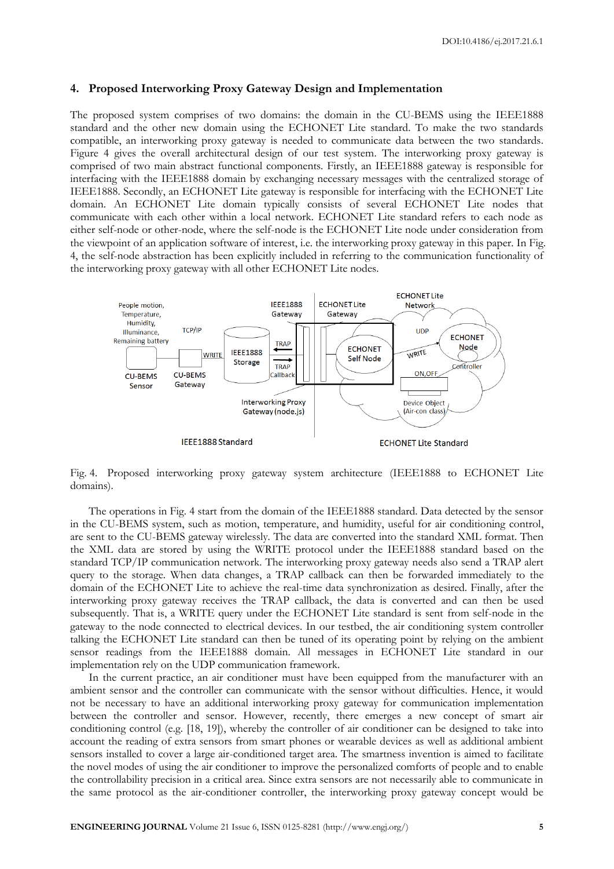#### **4. Proposed Interworking Proxy Gateway Design and Implementation**

The proposed system comprises of two domains: the domain in the CU-BEMS using the IEEE1888 standard and the other new domain using the ECHONET Lite standard. To make the two standards compatible, an interworking proxy gateway is needed to communicate data between the two standards. Figure 4 gives the overall architectural design of our test system. The interworking proxy gateway is comprised of two main abstract functional components. Firstly, an IEEE1888 gateway is responsible for interfacing with the IEEE1888 domain by exchanging necessary messages with the centralized storage of IEEE1888. Secondly, an ECHONET Lite gateway is responsible for interfacing with the ECHONET Lite domain. An ECHONET Lite domain typically consists of several ECHONET Lite nodes that communicate with each other within a local network. ECHONET Lite standard refers to each node as either self-node or other-node, where the self-node is the ECHONET Lite node under consideration from the viewpoint of an application software of interest, i.e. the interworking proxy gateway in this paper. In Fig. 4, the self-node abstraction has been explicitly included in referring to the communication functionality of the interworking proxy gateway with all other ECHONET Lite nodes.



Fig. 4. Proposed interworking proxy gateway system architecture (IEEE1888 to ECHONET Lite domains).

The operations in Fig. 4 start from the domain of the IEEE1888 standard. Data detected by the sensor in the CU-BEMS system, such as motion, temperature, and humidity, useful for air conditioning control, are sent to the CU-BEMS gateway wirelessly. The data are converted into the standard XML format. Then the XML data are stored by using the WRITE protocol under the IEEE1888 standard based on the standard TCP/IP communication network. The interworking proxy gateway needs also send a TRAP alert query to the storage. When data changes, a TRAP callback can then be forwarded immediately to the domain of the ECHONET Lite to achieve the real-time data synchronization as desired. Finally, after the interworking proxy gateway receives the TRAP callback, the data is converted and can then be used subsequently. That is, a WRITE query under the ECHONET Lite standard is sent from self-node in the gateway to the node connected to electrical devices. In our testbed, the air conditioning system controller talking the ECHONET Lite standard can then be tuned of its operating point by relying on the ambient sensor readings from the IEEE1888 domain. All messages in ECHONET Lite standard in our implementation rely on the UDP communication framework.

In the current practice, an air conditioner must have been equipped from the manufacturer with an ambient sensor and the controller can communicate with the sensor without difficulties. Hence, it would not be necessary to have an additional interworking proxy gateway for communication implementation between the controller and sensor. However, recently, there emerges a new concept of smart air conditioning control (e.g. [18, 19]), whereby the controller of air conditioner can be designed to take into account the reading of extra sensors from smart phones or wearable devices as well as additional ambient sensors installed to cover a large air-conditioned target area. The smartness invention is aimed to facilitate the novel modes of using the air conditioner to improve the personalized comforts of people and to enable the controllability precision in a critical area. Since extra sensors are not necessarily able to communicate in the same protocol as the air-conditioner controller, the interworking proxy gateway concept would be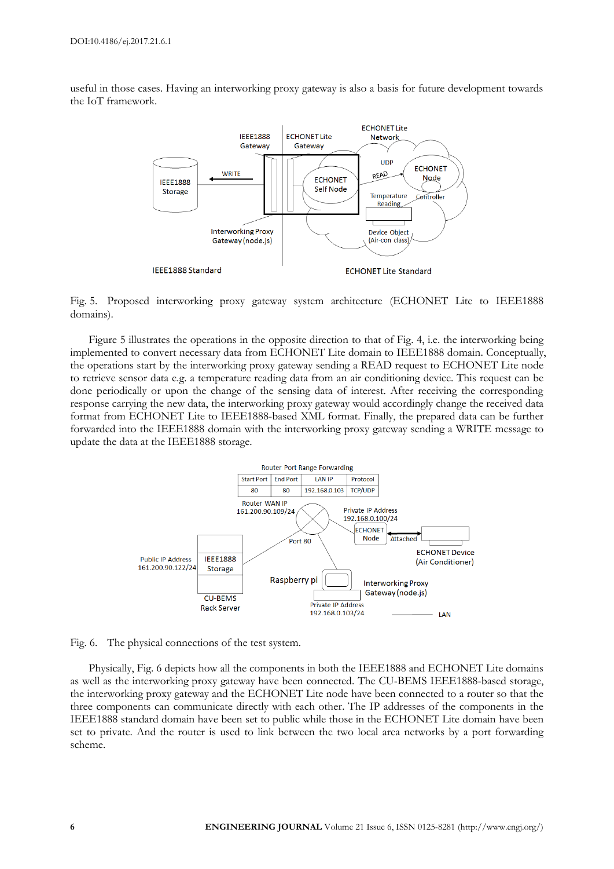useful in those cases. Having an interworking proxy gateway is also a basis for future development towards the IoT framework.



Fig. 5. Proposed interworking proxy gateway system architecture (ECHONET Lite to IEEE1888 domains).

Figure 5 illustrates the operations in the opposite direction to that of Fig. 4, i.e. the interworking being implemented to convert necessary data from ECHONET Lite domain to IEEE1888 domain. Conceptually, the operations start by the interworking proxy gateway sending a READ request to ECHONET Lite node to retrieve sensor data e.g. a temperature reading data from an air conditioning device. This request can be done periodically or upon the change of the sensing data of interest. After receiving the corresponding response carrying the new data, the interworking proxy gateway would accordingly change the received data format from ECHONET Lite to IEEE1888-based XML format. Finally, the prepared data can be further forwarded into the IEEE1888 domain with the interworking proxy gateway sending a WRITE message to update the data at the IEEE1888 storage.



Fig. 6. The physical connections of the test system.

Physically, Fig. 6 depicts how all the components in both the IEEE1888 and ECHONET Lite domains as well as the interworking proxy gateway have been connected. The CU-BEMS IEEE1888-based storage, the interworking proxy gateway and the ECHONET Lite node have been connected to a router so that the three components can communicate directly with each other. The IP addresses of the components in the IEEE1888 standard domain have been set to public while those in the ECHONET Lite domain have been set to private. And the router is used to link between the two local area networks by a port forwarding scheme.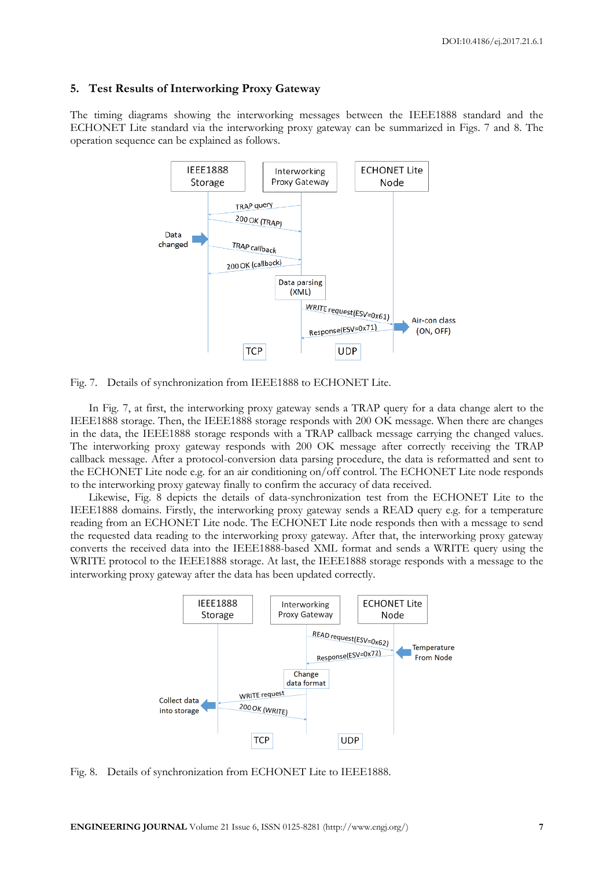#### **5. Test Results of Interworking Proxy Gateway**

The timing diagrams showing the interworking messages between the IEEE1888 standard and the ECHONET Lite standard via the interworking proxy gateway can be summarized in Figs. 7 and 8. The operation sequence can be explained as follows.



Fig. 7. Details of synchronization from IEEE1888 to ECHONET Lite.

In Fig. 7, at first, the interworking proxy gateway sends a TRAP query for a data change alert to the IEEE1888 storage. Then, the IEEE1888 storage responds with 200 OK message. When there are changes in the data, the IEEE1888 storage responds with a TRAP callback message carrying the changed values. The interworking proxy gateway responds with 200 OK message after correctly receiving the TRAP callback message. After a protocol-conversion data parsing procedure, the data is reformatted and sent to the ECHONET Lite node e.g. for an air conditioning on/off control. The ECHONET Lite node responds to the interworking proxy gateway finally to confirm the accuracy of data received.

Likewise, Fig. 8 depicts the details of data-synchronization test from the ECHONET Lite to the IEEE1888 domains. Firstly, the interworking proxy gateway sends a READ query e.g. for a temperature reading from an ECHONET Lite node. The ECHONET Lite node responds then with a message to send the requested data reading to the interworking proxy gateway. After that, the interworking proxy gateway converts the received data into the IEEE1888-based XML format and sends a WRITE query using the WRITE protocol to the IEEE1888 storage. At last, the IEEE1888 storage responds with a message to the interworking proxy gateway after the data has been updated correctly.



Fig. 8. Details of synchronization from ECHONET Lite to IEEE1888.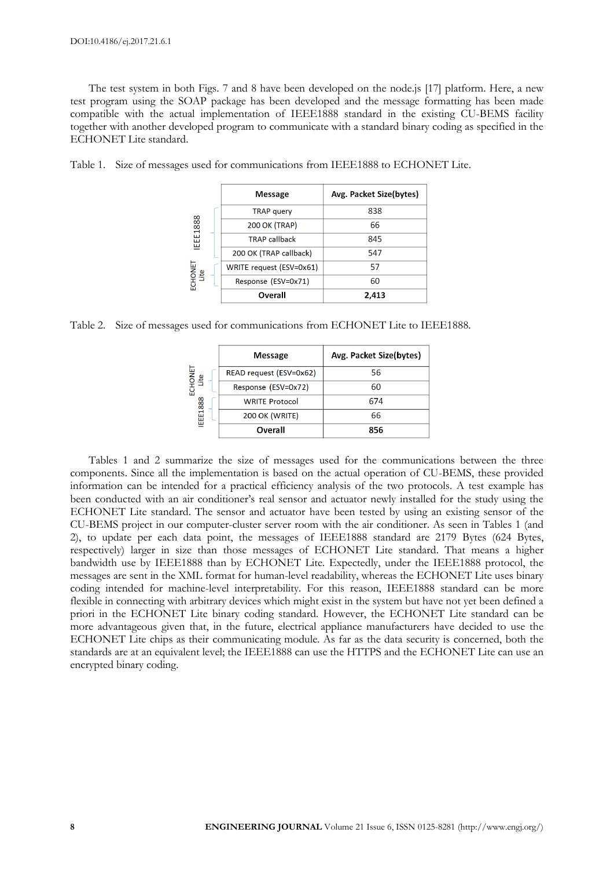The test system in both Figs. 7 and 8 have been developed on the node.js [17] platform. Here, a new test program using the SOAP package has been developed and the message formatting has been made compatible with the actual implementation of IEEE1888 standard in the existing CU-BEMS facility together with another developed program to communicate with a standard binary coding as specified in the ECHONET Lite standard.

| IEEE1888<br>ECHONET<br>Lite | <b>Message</b>           | Avg. Packet Size(bytes) |  |
|-----------------------------|--------------------------|-------------------------|--|
|                             | <b>TRAP</b> query        | 838                     |  |
|                             | <b>200 OK (TRAP)</b>     | 66                      |  |
|                             | <b>TRAP callback</b>     | 845                     |  |
|                             | 200 OK (TRAP callback)   | 547                     |  |
|                             | WRITE request (ESV=0x61) | 57                      |  |
|                             | Response (ESV=0x71)      | 60                      |  |
|                             | Overall                  | 2,413                   |  |

Table 1. Size of messages used for communications from IEEE1888 to ECHONET Lite.

Table 2. Size of messages used for communications from ECHONET Lite to IEEE1888.

| <b>HONET</b><br>Lite<br>홊 | <b>Message</b>          | Avg. Packet Size(bytes) |  |
|---------------------------|-------------------------|-------------------------|--|
|                           | READ request (ESV=0x62) | 56                      |  |
|                           | Response (ESV=0x72)     | 60                      |  |
|                           | <b>WRITE Protocol</b>   | 674                     |  |
| IEEE1888                  | <b>200 OK (WRITE)</b>   | 66                      |  |
|                           | Overall                 | 856                     |  |

Tables 1 and 2 summarize the size of messages used for the communications between the three components. Since all the implementation is based on the actual operation of CU-BEMS, these provided information can be intended for a practical efficiency analysis of the two protocols. A test example has been conducted with an air conditioner's real sensor and actuator newly installed for the study using the ECHONET Lite standard. The sensor and actuator have been tested by using an existing sensor of the CU-BEMS project in our computer-cluster server room with the air conditioner. As seen in Tables 1 (and 2), to update per each data point, the messages of IEEE1888 standard are 2179 Bytes (624 Bytes, respectively) larger in size than those messages of ECHONET Lite standard. That means a higher bandwidth use by IEEE1888 than by ECHONET Lite. Expectedly, under the IEEE1888 protocol, the messages are sent in the XML format for human-level readability, whereas the ECHONET Lite uses binary coding intended for machine-level interpretability. For this reason, IEEE1888 standard can be more flexible in connecting with arbitrary devices which might exist in the system but have not yet been defined a priori in the ECHONET Lite binary coding standard. However, the ECHONET Lite standard can be more advantageous given that, in the future, electrical appliance manufacturers have decided to use the ECHONET Lite chips as their communicating module. As far as the data security is concerned, both the standards are at an equivalent level; the IEEE1888 can use the HTTPS and the ECHONET Lite can use an encrypted binary coding.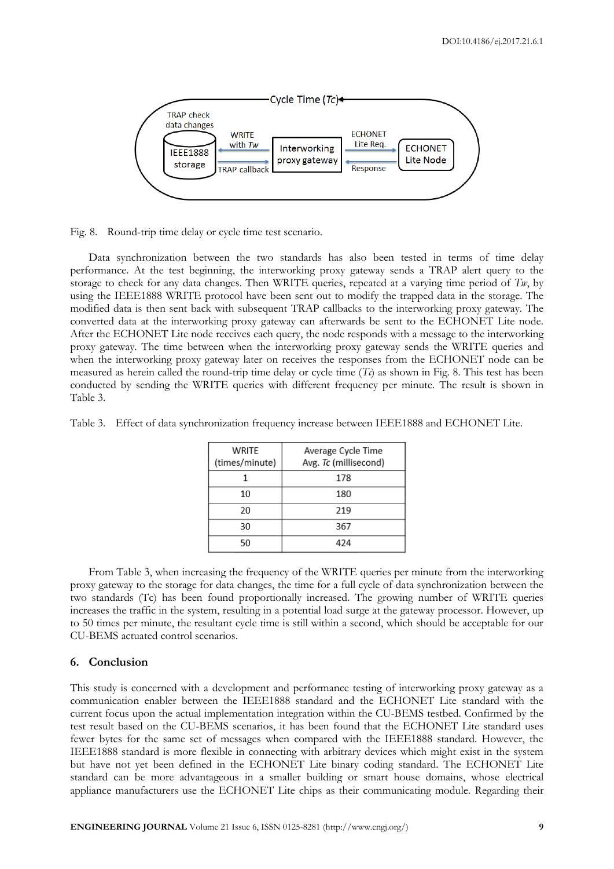

Fig. 8. Round-trip time delay or cycle time test scenario.

Data synchronization between the two standards has also been tested in terms of time delay performance. At the test beginning, the interworking proxy gateway sends a TRAP alert query to the storage to check for any data changes. Then WRITE queries, repeated at a varying time period of  $Tw$ , by using the IEEE1888 WRITE protocol have been sent out to modify the trapped data in the storage. The modified data is then sent back with subsequent TRAP callbacks to the interworking proxy gateway. The converted data at the interworking proxy gateway can afterwards be sent to the ECHONET Lite node. After the ECHONET Lite node receives each query, the node responds with a message to the interworking proxy gateway. The time between when the interworking proxy gateway sends the WRITE queries and when the interworking proxy gateway later on receives the responses from the ECHONET node can be measured as herein called the round-trip time delay or cycle time  $(T<sub>c</sub>)$  as shown in Fig. 8. This test has been conducted by sending the WRITE queries with different frequency per minute. The result is shown in Table 3.

| Table 3. Effect of data synchronization frequency increase between IEEE1888 and ECHONET Lite. |
|-----------------------------------------------------------------------------------------------|
|-----------------------------------------------------------------------------------------------|

| WRITE<br>(times/minute) | Average Cycle Time<br>Avg. Tc (millisecond) |
|-------------------------|---------------------------------------------|
|                         | 178                                         |
| 10                      | 180                                         |
| 20                      | 219                                         |
| 30                      | 367                                         |
| 50                      | 474                                         |

From Table 3, when increasing the frequency of the WRITE queries per minute from the interworking proxy gateway to the storage for data changes, the time for a full cycle of data synchronization between the two standards (Tc) has been found proportionally increased. The growing number of WRITE queries increases the traffic in the system, resulting in a potential load surge at the gateway processor. However, up to 50 times per minute, the resultant cycle time is still within a second, which should be acceptable for our CU-BEMS actuated control scenarios.

#### **6. Conclusion**

This study is concerned with a development and performance testing of interworking proxy gateway as a communication enabler between the IEEE1888 standard and the ECHONET Lite standard with the current focus upon the actual implementation integration within the CU-BEMS testbed. Confirmed by the test result based on the CU-BEMS scenarios, it has been found that the ECHONET Lite standard uses fewer bytes for the same set of messages when compared with the IEEE1888 standard. However, the IEEE1888 standard is more flexible in connecting with arbitrary devices which might exist in the system but have not yet been defined in the ECHONET Lite binary coding standard. The ECHONET Lite standard can be more advantageous in a smaller building or smart house domains, whose electrical appliance manufacturers use the ECHONET Lite chips as their communicating module. Regarding their